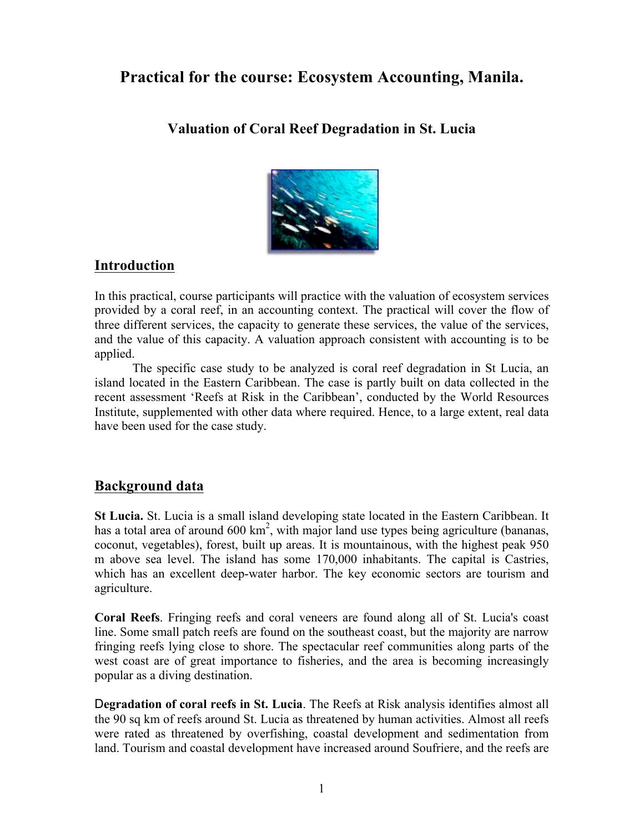# **Practical for the course: Ecosystem Accounting, Manila.**

**Valuation of Coral Reef Degradation in St. Lucia**



## **Introduction**

In this practical, course participants will practice with the valuation of ecosystem services provided by a coral reef, in an accounting context. The practical will cover the flow of three different services, the capacity to generate these services, the value of the services, and the value of this capacity. A valuation approach consistent with accounting is to be applied.

The specific case study to be analyzed is coral reef degradation in St Lucia, an island located in the Eastern Caribbean. The case is partly built on data collected in the recent assessment 'Reefs at Risk in the Caribbean', conducted by the World Resources Institute, supplemented with other data where required. Hence, to a large extent, real data have been used for the case study.

### **Background data**

**St Lucia.** St. Lucia is a small island developing state located in the Eastern Caribbean. It has a total area of around  $600 \text{ km}^2$ , with major land use types being agriculture (bananas, coconut, vegetables), forest, built up areas. It is mountainous, with the highest peak 950 m above sea level. The island has some 170,000 inhabitants. The capital is Castries, which has an excellent deep-water harbor. The key economic sectors are tourism and agriculture.

**Coral Reefs**. Fringing reefs and coral veneers are found along all of St. Lucia's coast line. Some small patch reefs are found on the southeast coast, but the majority are narrow fringing reefs lying close to shore. The spectacular reef communities along parts of the west coast are of great importance to fisheries, and the area is becoming increasingly popular as a diving destination.

D**egradation of coral reefs in St. Lucia**. The Reefs at Risk analysis identifies almost all the 90 sq km of reefs around St. Lucia as threatened by human activities. Almost all reefs were rated as threatened by overfishing, coastal development and sedimentation from land. Tourism and coastal development have increased around Soufriere, and the reefs are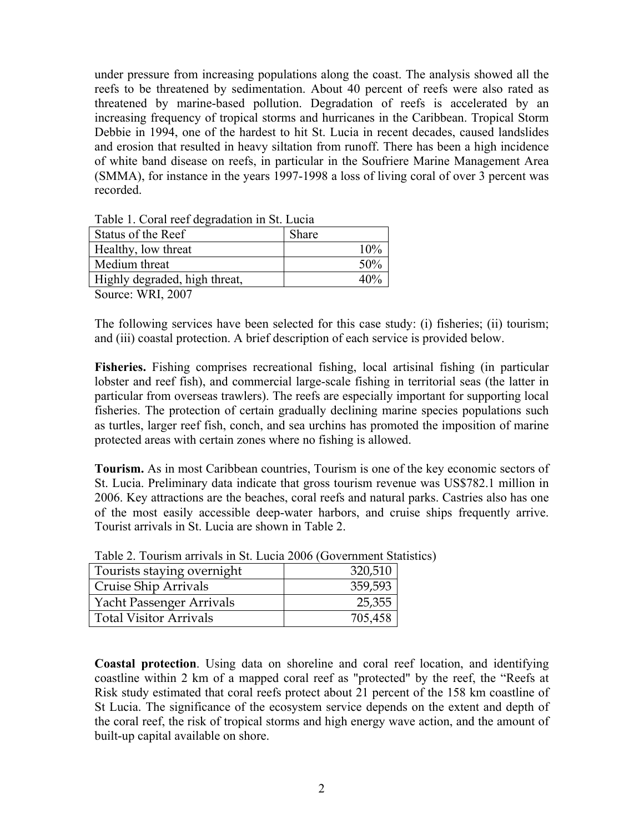under pressure from increasing populations along the coast. The analysis showed all the reefs to be threatened by sedimentation. About 40 percent of reefs were also rated as threatened by marine-based pollution. Degradation of reefs is accelerated by an increasing frequency of tropical storms and hurricanes in the Caribbean. Tropical Storm Debbie in 1994, one of the hardest to hit St. Lucia in recent decades, caused landslides and erosion that resulted in heavy siltation from runoff. There has been a high incidence of white band disease on reefs, in particular in the Soufriere Marine Management Area (SMMA), for instance in the years 1997-1998 a loss of living coral of over 3 percent was recorded.

| Status of the Reef            | <b>Share</b> |
|-------------------------------|--------------|
| Healthy, low threat           | 10%          |
| Medium threat                 | 50%          |
| Highly degraded, high threat, | 40%          |
| $\sim$                        |              |

Table 1. Coral reef degradation in St. Lucia

Source: WRI, 2007

The following services have been selected for this case study: (i) fisheries; (ii) tourism; and (iii) coastal protection. A brief description of each service is provided below.

**Fisheries.** Fishing comprises recreational fishing, local artisinal fishing (in particular lobster and reef fish), and commercial large-scale fishing in territorial seas (the latter in particular from overseas trawlers). The reefs are especially important for supporting local fisheries. The protection of certain gradually declining marine species populations such as turtles, larger reef fish, conch, and sea urchins has promoted the imposition of marine protected areas with certain zones where no fishing is allowed.

**Tourism.** As in most Caribbean countries, Tourism is one of the key economic sectors of St. Lucia. Preliminary data indicate that gross tourism revenue was US\$782.1 million in 2006. Key attractions are the beaches, coral reefs and natural parks. Castries also has one of the most easily accessible deep-water harbors, and cruise ships frequently arrive. Tourist arrivals in St. Lucia are shown in Table 2.

| Tourists staying overnight      | 320,510 |
|---------------------------------|---------|
| Cruise Ship Arrivals            | 359,593 |
| <b>Yacht Passenger Arrivals</b> | 25,355  |
| <b>Total Visitor Arrivals</b>   | 705,458 |

Table 2. Tourism arrivals in St. Lucia 2006 (Government Statistics)

**Coastal protection**. Using data on shoreline and coral reef location, and identifying coastline within 2 km of a mapped coral reef as "protected" by the reef, the "Reefs at Risk study estimated that coral reefs protect about 21 percent of the 158 km coastline of St Lucia. The significance of the ecosystem service depends on the extent and depth of the coral reef, the risk of tropical storms and high energy wave action, and the amount of built-up capital available on shore.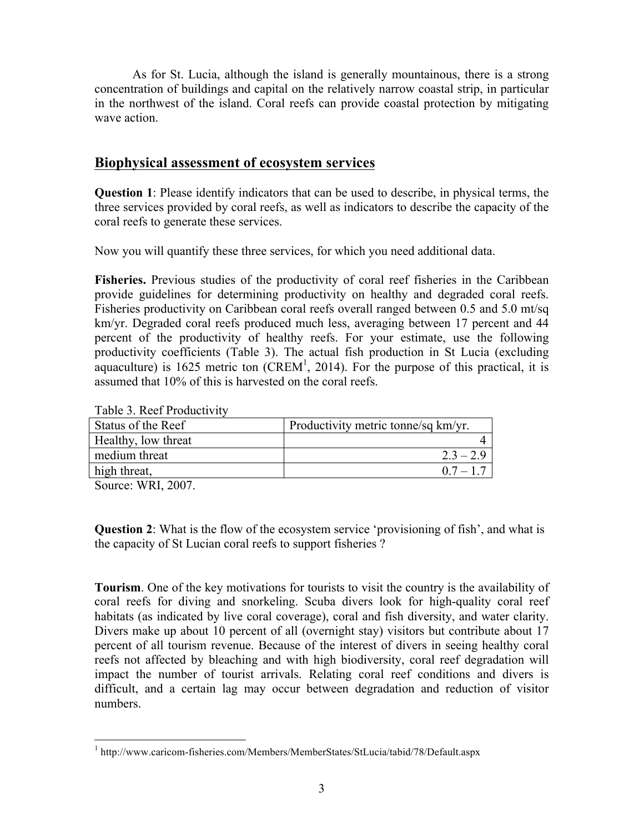As for St. Lucia, although the island is generally mountainous, there is a strong concentration of buildings and capital on the relatively narrow coastal strip, in particular in the northwest of the island. Coral reefs can provide coastal protection by mitigating wave action.

### **Biophysical assessment of ecosystem services**

**Question 1**: Please identify indicators that can be used to describe, in physical terms, the three services provided by coral reefs, as well as indicators to describe the capacity of the coral reefs to generate these services.

Now you will quantify these three services, for which you need additional data.

**Fisheries.** Previous studies of the productivity of coral reef fisheries in the Caribbean provide guidelines for determining productivity on healthy and degraded coral reefs. Fisheries productivity on Caribbean coral reefs overall ranged between 0.5 and 5.0 mt/sq km/yr. Degraded coral reefs produced much less, averaging between 17 percent and 44 percent of the productivity of healthy reefs. For your estimate, use the following productivity coefficients (Table 3). The actual fish production in St Lucia (excluding aquaculture) is 1625 metric ton  $(CREM<sup>1</sup>, 2014)$ . For the purpose of this practical, it is assumed that 10% of this is harvested on the coral reefs.

|  | Table 3. Reef Productivity |
|--|----------------------------|
|--|----------------------------|

| Status of the Reef  | Productivity metric tonne/sq km/yr. |
|---------------------|-------------------------------------|
| Healthy, low threat |                                     |
| medium threat       | $2.3 - 2.9$                         |
| high threat,        | $0.7 - 1.7$                         |

Source: WRI, 2007.

**Question 2**: What is the flow of the ecosystem service 'provisioning of fish', and what is the capacity of St Lucian coral reefs to support fisheries ?

**Tourism**. One of the key motivations for tourists to visit the country is the availability of coral reefs for diving and snorkeling. Scuba divers look for high-quality coral reef habitats (as indicated by live coral coverage), coral and fish diversity, and water clarity. Divers make up about 10 percent of all (overnight stay) visitors but contribute about 17 percent of all tourism revenue. Because of the interest of divers in seeing healthy coral reefs not affected by bleaching and with high biodiversity, coral reef degradation will impact the number of tourist arrivals. Relating coral reef conditions and divers is difficult, and a certain lag may occur between degradation and reduction of visitor numbers.

 <sup>1</sup> http://www.caricom-fisheries.com/Members/MemberStates/StLucia/tabid/78/Default.aspx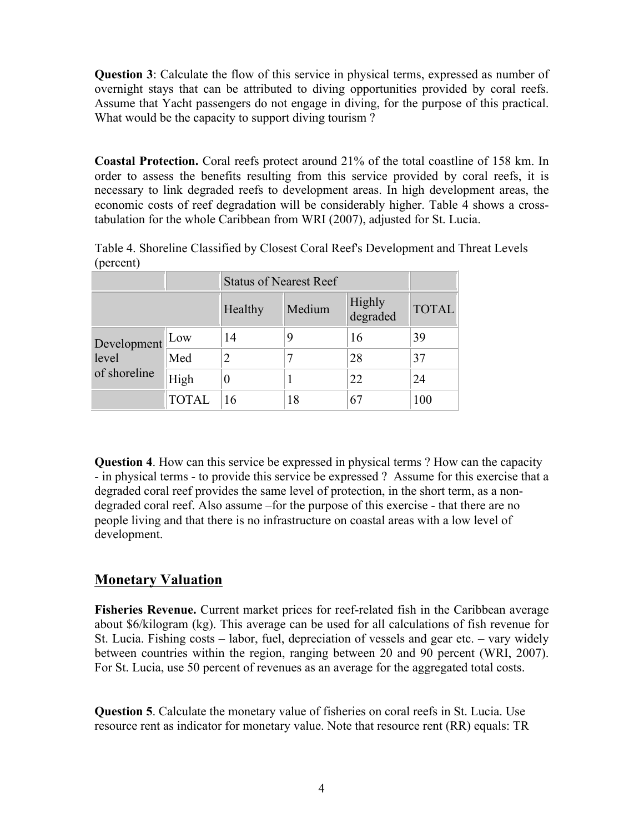**Question 3**: Calculate the flow of this service in physical terms, expressed as number of overnight stays that can be attributed to diving opportunities provided by coral reefs. Assume that Yacht passengers do not engage in diving, for the purpose of this practical. What would be the capacity to support diving tourism?

**Coastal Protection.** Coral reefs protect around 21% of the total coastline of 158 km. In order to assess the benefits resulting from this service provided by coral reefs, it is necessary to link degraded reefs to development areas. In high development areas, the economic costs of reef degradation will be considerably higher. Table 4 shows a crosstabulation for the whole Caribbean from WRI (2007), adjusted for St. Lucia.

|           | Table 4. Shoreline Classified by Closest Coral Reef's Development and Threat Levels |  |  |  |
|-----------|-------------------------------------------------------------------------------------|--|--|--|
| (percent) |                                                                                     |  |  |  |

|                                          |              | <b>Status of Nearest Reef</b> |        |                    |              |
|------------------------------------------|--------------|-------------------------------|--------|--------------------|--------------|
|                                          |              | Healthy                       | Medium | Highly<br>degraded | <b>TOTAL</b> |
| Development Low<br>level<br>of shoreline |              | 14                            | 9      | 16                 | 39           |
|                                          | Med          | 2                             |        | 28                 | 37           |
|                                          | High         | 0                             |        | 22                 | 24           |
|                                          | <b>TOTAL</b> | 16                            | 18     | 67                 | 100          |

**Question 4**. How can this service be expressed in physical terms ? How can the capacity - in physical terms - to provide this service be expressed ? Assume for this exercise that a degraded coral reef provides the same level of protection, in the short term, as a nondegraded coral reef. Also assume –for the purpose of this exercise - that there are no people living and that there is no infrastructure on coastal areas with a low level of development.

### **Monetary Valuation**

**Fisheries Revenue.** Current market prices for reef-related fish in the Caribbean average about \$6/kilogram (kg). This average can be used for all calculations of fish revenue for St. Lucia. Fishing costs – labor, fuel, depreciation of vessels and gear etc. – vary widely between countries within the region, ranging between 20 and 90 percent (WRI, 2007). For St. Lucia, use 50 percent of revenues as an average for the aggregated total costs.

**Question 5**. Calculate the monetary value of fisheries on coral reefs in St. Lucia. Use resource rent as indicator for monetary value. Note that resource rent (RR) equals: TR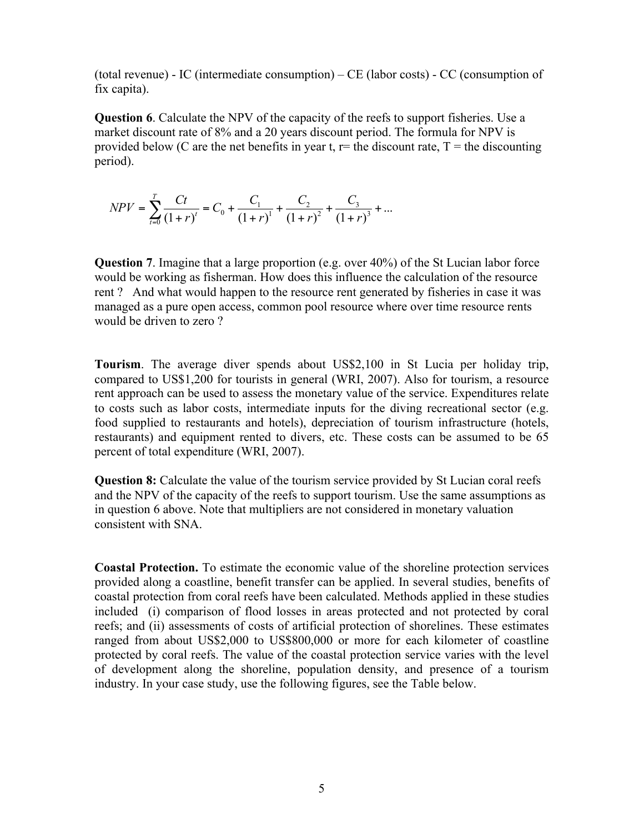(total revenue) - IC (intermediate consumption) – CE (labor costs) - CC (consumption of fix capita).

**Question 6**. Calculate the NPV of the capacity of the reefs to support fisheries. Use a market discount rate of 8% and a 20 years discount period. The formula for NPV is provided below (C are the net benefits in year t,  $r=$  the discount rate,  $T=$  the discounting period).

$$
NPV = \sum_{t=0}^{T} \frac{Ct}{(1+r)^{t}} = C_0 + \frac{C_1}{(1+r)^{1}} + \frac{C_2}{(1+r)^{2}} + \frac{C_3}{(1+r)^{3}} + \dots
$$

**Question 7**. Imagine that a large proportion (e.g. over 40%) of the St Lucian labor force would be working as fisherman. How does this influence the calculation of the resource rent ? And what would happen to the resource rent generated by fisheries in case it was managed as a pure open access, common pool resource where over time resource rents would be driven to zero ?

**Tourism**. The average diver spends about US\$2,100 in St Lucia per holiday trip, compared to US\$1,200 for tourists in general (WRI, 2007). Also for tourism, a resource rent approach can be used to assess the monetary value of the service. Expenditures relate to costs such as labor costs, intermediate inputs for the diving recreational sector (e.g. food supplied to restaurants and hotels), depreciation of tourism infrastructure (hotels, restaurants) and equipment rented to divers, etc. These costs can be assumed to be 65 percent of total expenditure (WRI, 2007).

**Question 8:** Calculate the value of the tourism service provided by St Lucian coral reefs and the NPV of the capacity of the reefs to support tourism. Use the same assumptions as in question 6 above. Note that multipliers are not considered in monetary valuation consistent with SNA.

**Coastal Protection.** To estimate the economic value of the shoreline protection services provided along a coastline, benefit transfer can be applied. In several studies, benefits of coastal protection from coral reefs have been calculated. Methods applied in these studies included (i) comparison of flood losses in areas protected and not protected by coral reefs; and (ii) assessments of costs of artificial protection of shorelines. These estimates ranged from about US\$2,000 to US\$800,000 or more for each kilometer of coastline protected by coral reefs. The value of the coastal protection service varies with the level of development along the shoreline, population density, and presence of a tourism industry. In your case study, use the following figures, see the Table below.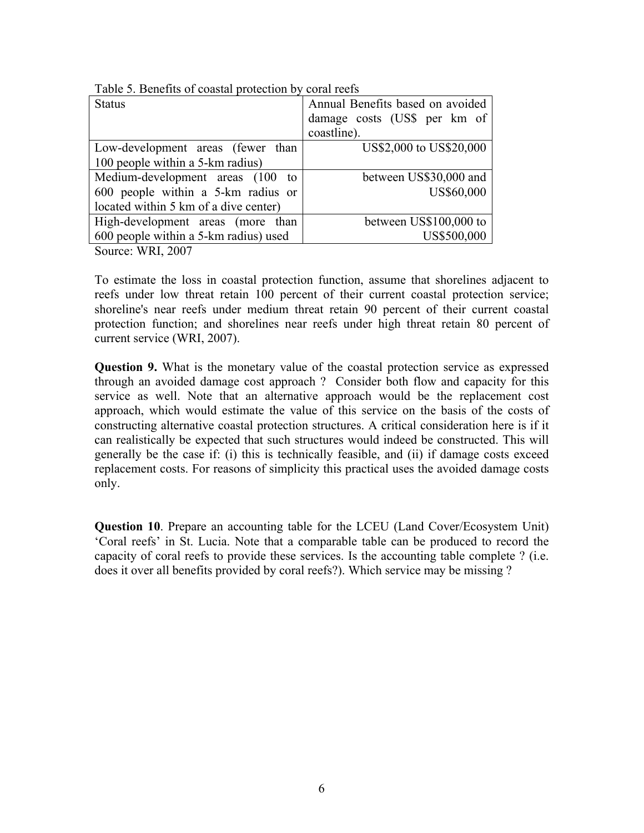| <b>Status</b>                         | Annual Benefits based on avoided |
|---------------------------------------|----------------------------------|
|                                       | damage costs (US\$ per km of     |
|                                       | coastline).                      |
| Low-development areas (fewer than     | US\$2,000 to US\$20,000          |
| 100 people within a 5-km radius)      |                                  |
| Medium-development areas (100 to      | between US\$30,000 and           |
| 600 people within a 5-km radius or    | US\$60,000                       |
| located within 5 km of a dive center) |                                  |
| High-development areas (more than     | between US\$100,000 to           |
| 600 people within a 5-km radius) used | US\$500,000                      |
| $\text{Source} \cdot \text{WRI}$ 2007 |                                  |

Table 5. Benefits of coastal protection by coral reefs

SOURCE:  $W \nR1$ ,  $2007$ 

To estimate the loss in coastal protection function, assume that shorelines adjacent to reefs under low threat retain 100 percent of their current coastal protection service; shoreline's near reefs under medium threat retain 90 percent of their current coastal protection function; and shorelines near reefs under high threat retain 80 percent of current service (WRI, 2007).

**Question 9.** What is the monetary value of the coastal protection service as expressed through an avoided damage cost approach ? Consider both flow and capacity for this service as well. Note that an alternative approach would be the replacement cost approach, which would estimate the value of this service on the basis of the costs of constructing alternative coastal protection structures. A critical consideration here is if it can realistically be expected that such structures would indeed be constructed. This will generally be the case if: (i) this is technically feasible, and (ii) if damage costs exceed replacement costs. For reasons of simplicity this practical uses the avoided damage costs only.

**Question 10**. Prepare an accounting table for the LCEU (Land Cover/Ecosystem Unit) 'Coral reefs' in St. Lucia. Note that a comparable table can be produced to record the capacity of coral reefs to provide these services. Is the accounting table complete ? (i.e. does it over all benefits provided by coral reefs?). Which service may be missing ?